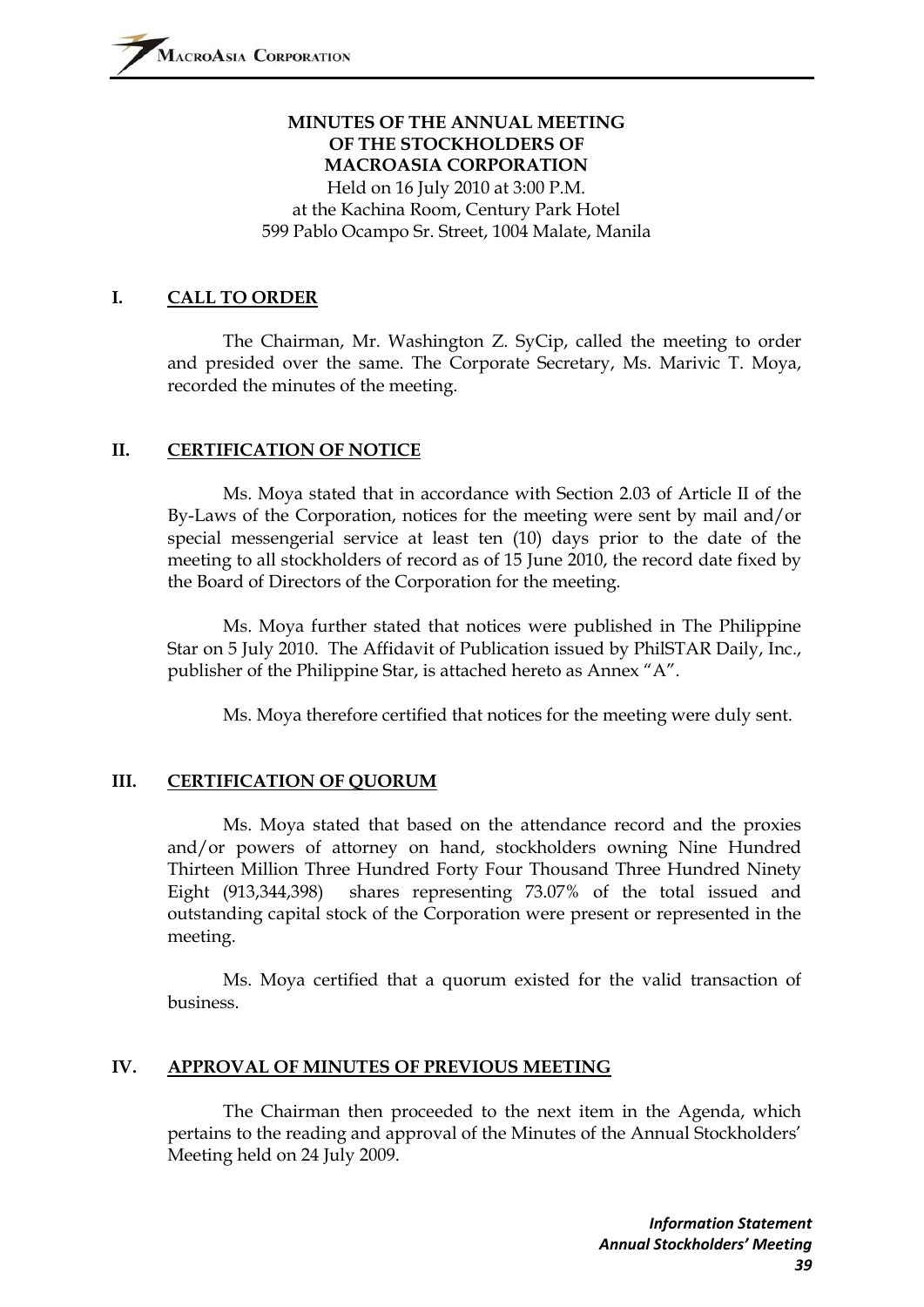### **MINUTES OF THE ANNUAL MEETING OF THE STOCKHOLDERS OF MACROASIA CORPORATION**  Held on 16 July 2010 at 3:00 P.M. at the Kachina Room, Century Park Hotel

599 Pablo Ocampo Sr. Street, 1004 Malate, Manila

## **I. CALL TO ORDER**

The Chairman, Mr. Washington Z. SyCip, called the meeting to order and presided over the same. The Corporate Secretary, Ms. Marivic T. Moya, recorded the minutes of the meeting.

# **II. CERTIFICATION OF NOTICE**

Ms. Moya stated that in accordance with Section 2.03 of Article II of the By-Laws of the Corporation, notices for the meeting were sent by mail and/or special messengerial service at least ten (10) days prior to the date of the meeting to all stockholders of record as of 15 June 2010, the record date fixed by the Board of Directors of the Corporation for the meeting.

Ms. Moya further stated that notices were published in The Philippine Star on 5 July 2010. The Affidavit of Publication issued by PhilSTAR Daily, Inc., publisher of the Philippine Star, is attached hereto as Annex "A".

Ms. Moya therefore certified that notices for the meeting were duly sent.

# **III. CERTIFICATION OF QUORUM**

Ms. Moya stated that based on the attendance record and the proxies and/or powers of attorney on hand, stockholders owning Nine Hundred Thirteen Million Three Hundred Forty Four Thousand Three Hundred Ninety Eight (913,344,398) shares representing 73.07% of the total issued and outstanding capital stock of the Corporation were present or represented in the meeting.

Ms. Moya certified that a quorum existed for the valid transaction of business.

### **IV. APPROVAL OF MINUTES OF PREVIOUS MEETING**

The Chairman then proceeded to the next item in the Agenda, which pertains to the reading and approval of the Minutes of the Annual Stockholders' Meeting held on 24 July 2009.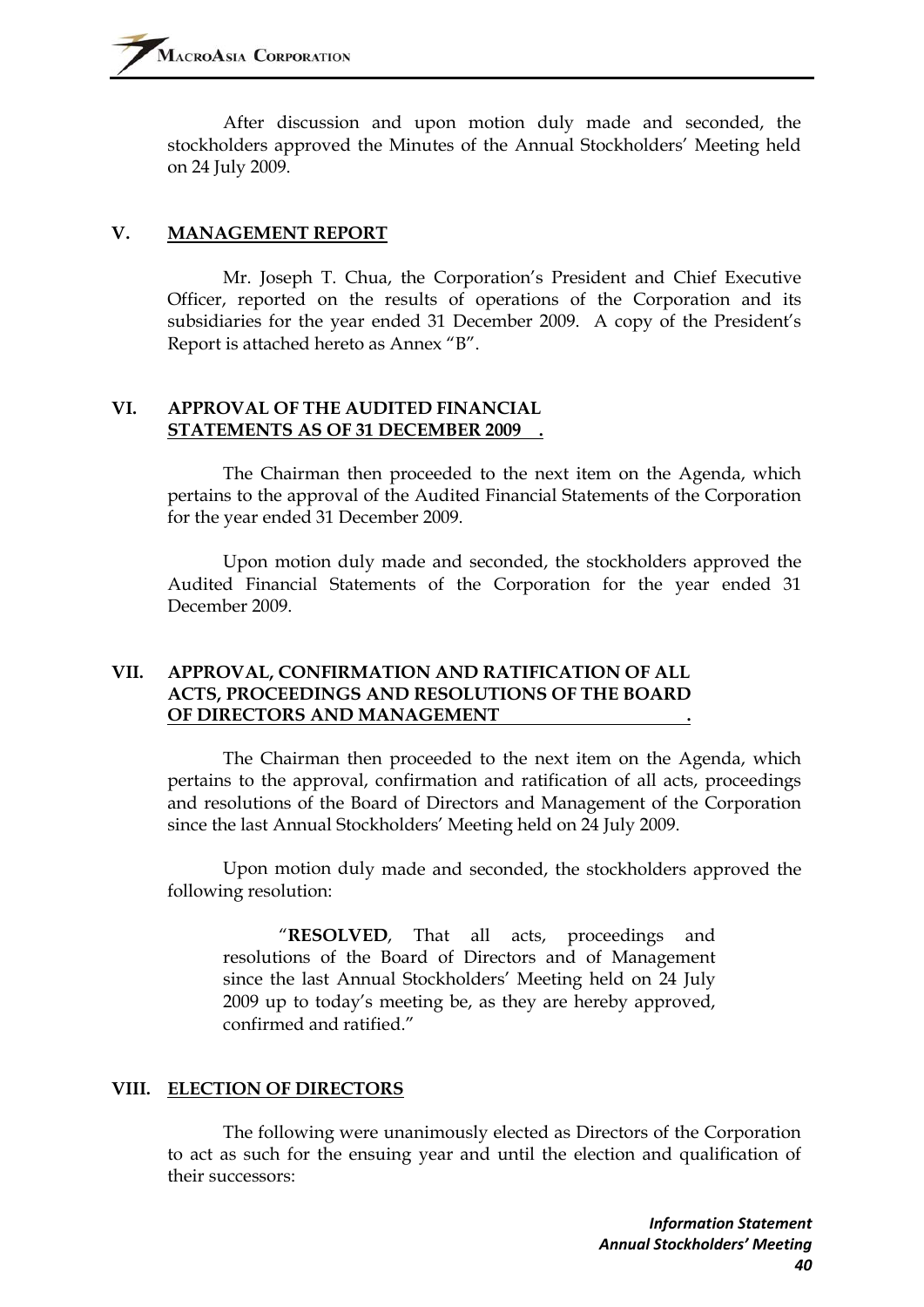After discussion and upon motion duly made and seconded, the stockholders approved the Minutes of the Annual Stockholders' Meeting held on 24 July 2009.

#### **V. MANAGEMENT REPORT**

Mr. Joseph T. Chua, the Corporation's President and Chief Executive Officer, reported on the results of operations of the Corporation and its subsidiaries for the year ended 31 December 2009. A copy of the President's Report is attached hereto as Annex "B".

#### **VI. APPROVAL OF THE AUDITED FINANCIAL STATEMENTS AS OF 31 DECEMBER 2009 .**

The Chairman then proceeded to the next item on the Agenda, which pertains to the approval of the Audited Financial Statements of the Corporation for the year ended 31 December 2009.

Upon motion duly made and seconded, the stockholders approved the Audited Financial Statements of the Corporation for the year ended 31 December 2009.

### **VII. APPROVAL, CONFIRMATION AND RATIFICATION OF ALL ACTS, PROCEEDINGS AND RESOLUTIONS OF THE BOARD OF DIRECTORS AND MANAGEMENT .**

The Chairman then proceeded to the next item on the Agenda, which pertains to the approval, confirmation and ratification of all acts, proceedings and resolutions of the Board of Directors and Management of the Corporation since the last Annual Stockholders' Meeting held on 24 July 2009.

Upon motion duly made and seconded, the stockholders approved the following resolution:

"**RESOLVED**, That all acts, proceedings and resolutions of the Board of Directors and of Management since the last Annual Stockholders' Meeting held on 24 July 2009 up to today's meeting be, as they are hereby approved, confirmed and ratified."

### **VIII. ELECTION OF DIRECTORS**

The following were unanimously elected as Directors of the Corporation to act as such for the ensuing year and until the election and qualification of their successors: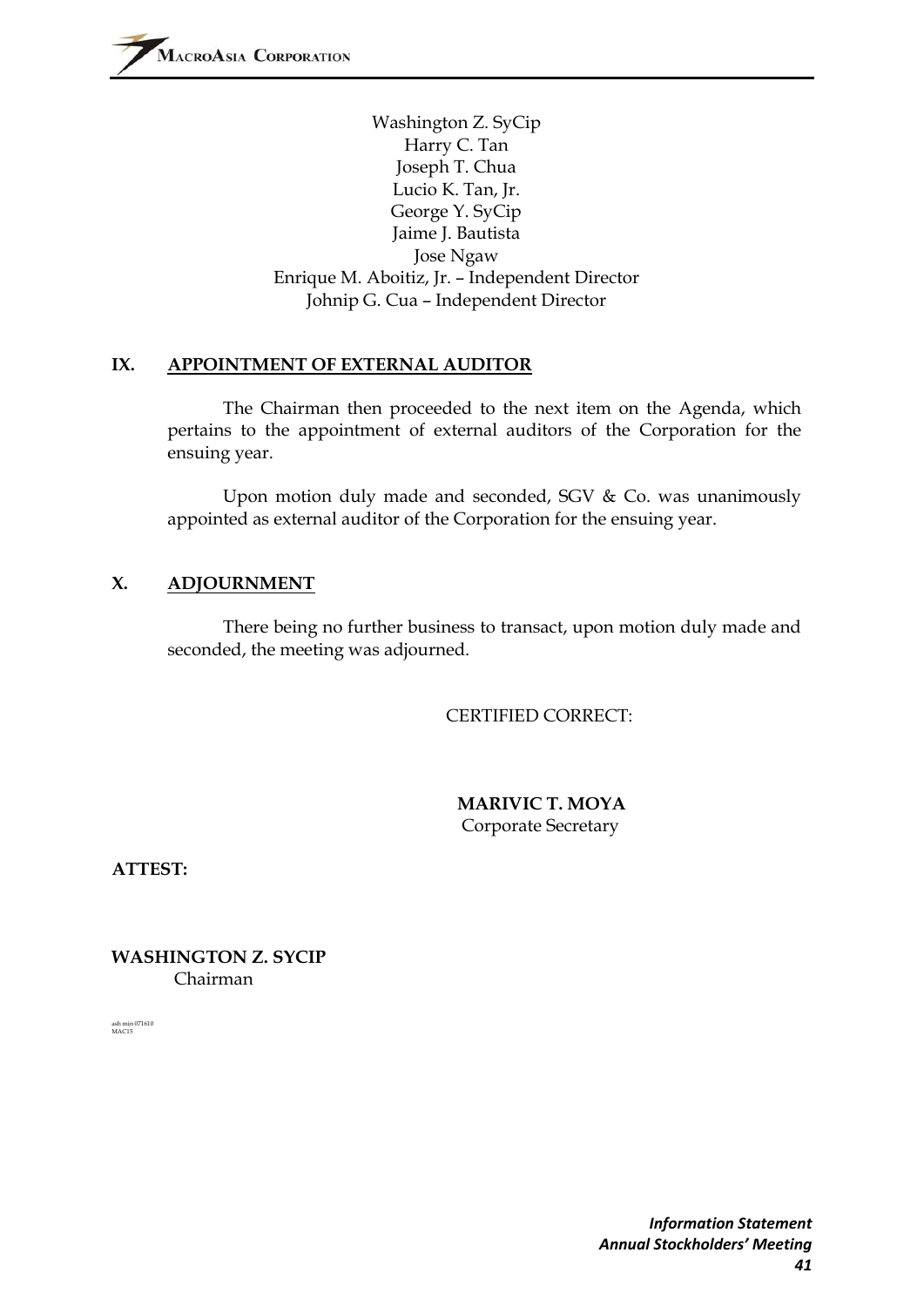Washington Z. SyCip Harry C. Tan Joseph T. Chua Lucio K. Tan, Jr. George Y. SyCip Jaime J. Bautista Jose Ngaw Enrique M. Aboitiz, Jr. – Independent Director Johnip G. Cua – Independent Director

#### **IX. APPOINTMENT OF EXTERNAL AUDITOR**

The Chairman then proceeded to the next item on the Agenda, which pertains to the appointment of external auditors of the Corporation for the ensuing year.

Upon motion duly made and seconded, SGV & Co. was unanimously appointed as external auditor of the Corporation for the ensuing year.

### **X. ADJOURNMENT**

There being no further business to transact, upon motion duly made and seconded, the meeting was adjourned.

CERTIFIED CORRECT:

 **MARIVIC T. MOYA**  Corporate Secretary

**ATTEST:** 

**WASHINGTON Z. SYCIP**  Chairman

ash min 071610 MAC15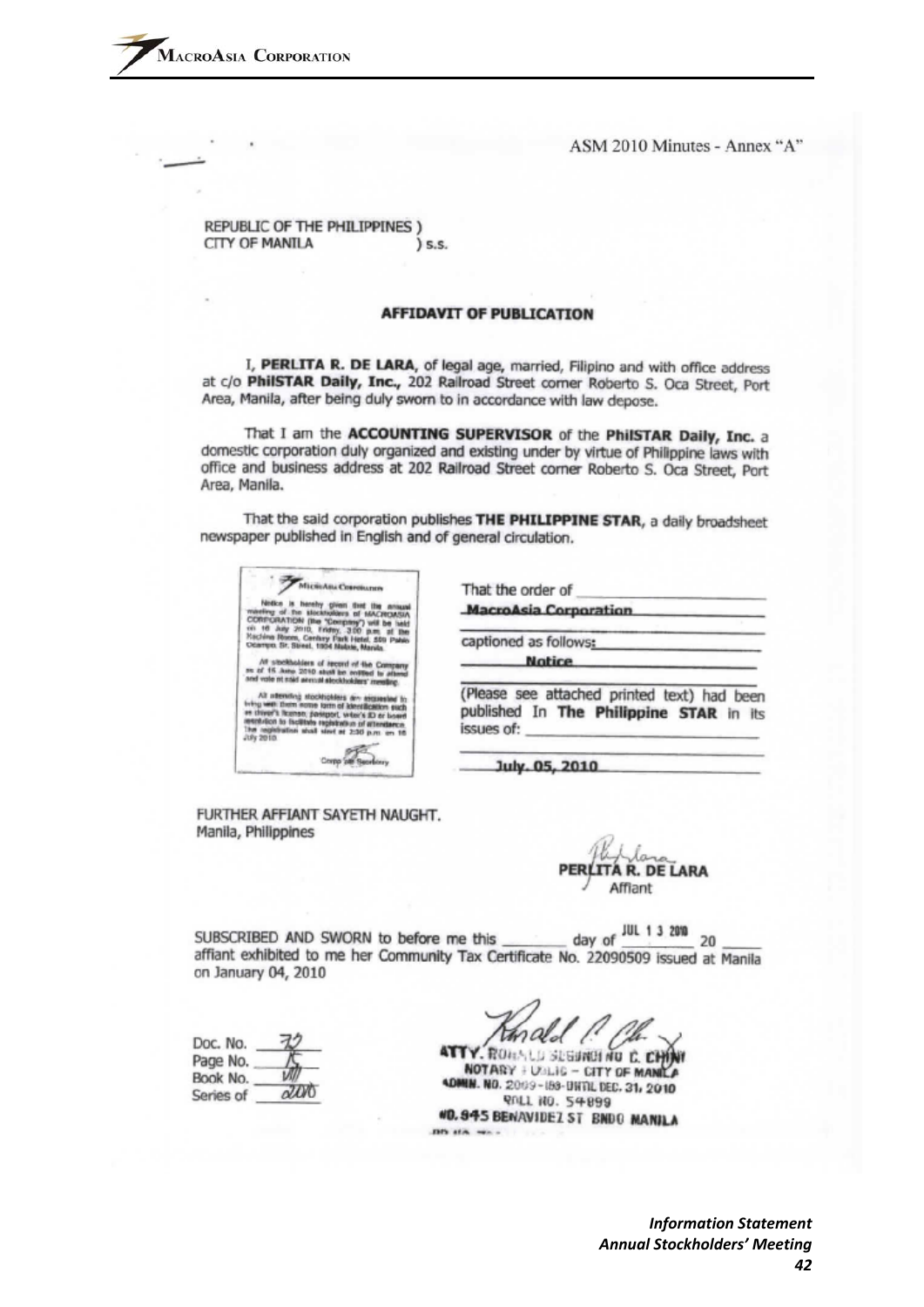REPUBLIC OF THE PHILIPPINES ) CITY OF MANILA s.s.

#### **AFFIDAVIT OF PUBLICATION**

I, PERLITA R. DE LARA, of legal age, married, Filipino and with office address at c/o PhilSTAR Daily, Inc., 202 Railroad Street comer Roberto S. Oca Street, Port Area, Manila, after being duly sworn to in accordance with law depose.

That I am the ACCOUNTING SUPERVISOR of the PhilSTAR Daily, Inc. a domestic corporation duly organized and existing under by virtue of Philippine laws with office and business address at 202 Railroad Street corner Roberto S. Oca Street, Port Area, Manila.

That the said corporation publishes THE PHILIPPINE STAR, a daily broadsheet newspaper published in English and of general circulation.

| MicroAna Correiunes<br>Nettice is hereby given first the annual                                                                                                                                                                                                      |
|----------------------------------------------------------------------------------------------------------------------------------------------------------------------------------------------------------------------------------------------------------------------|
| maximu of the stockholders of MACROMSIA<br>CORPORATION (the "Company") will be liefd<br>on 16 July 2010, Friday, 300 p.m. of the<br>Kachina Room, Century Park Hetel, 509 Pahlo<br>Ocarron, Sr. Street, 1904 Nature, Maruta.                                         |
| At stockholders of record of the Company<br>se of 15 June 2010 stuff be entitled to attend<br>and vote nt stad served stockholders' meeting.                                                                                                                         |
| All adending stockholders are assurested to<br>Iring with them notes form of klentification such<br>as chiver's license, passport, witer's 83 or bower<br>worker to facility reperiors of attentions<br>The registration shall slow at 2:30 p.m. on 16.<br>JUN 2010. |
|                                                                                                                                                                                                                                                                      |

That the order of **MacroAsia Corporation** captioned as follows: **Notice** 

(Please see attached printed text) had been published In The Philippine STAR in its issues of:

July. 05, 2010

FURTHER AFFIANT SAYETH NAUGHT. Manila, Philippines

≀. DE LARA Affiant

day of JUL 1 3 2010 SUBSCRIBED AND SWORN to before me this 20 affiant exhibited to me her Community Tax Certificate No. 22090509 issued at Manila on January 04, 2010

| Doc. No.  |            |
|-----------|------------|
| Page No.  |            |
| Book No.  |            |
| Series of | $\sqrt{2}$ |

ATTY, ROMALD SEGUNDING C. CH NOTARY + USLIG - CITY OF MANILA 4DMIN. NO. 2009-188-DHTIL DEC. 31, 2010 **PALL NO. 54899** #0.945 BENAVIDEZ ST BNDO MANILA DIS at A way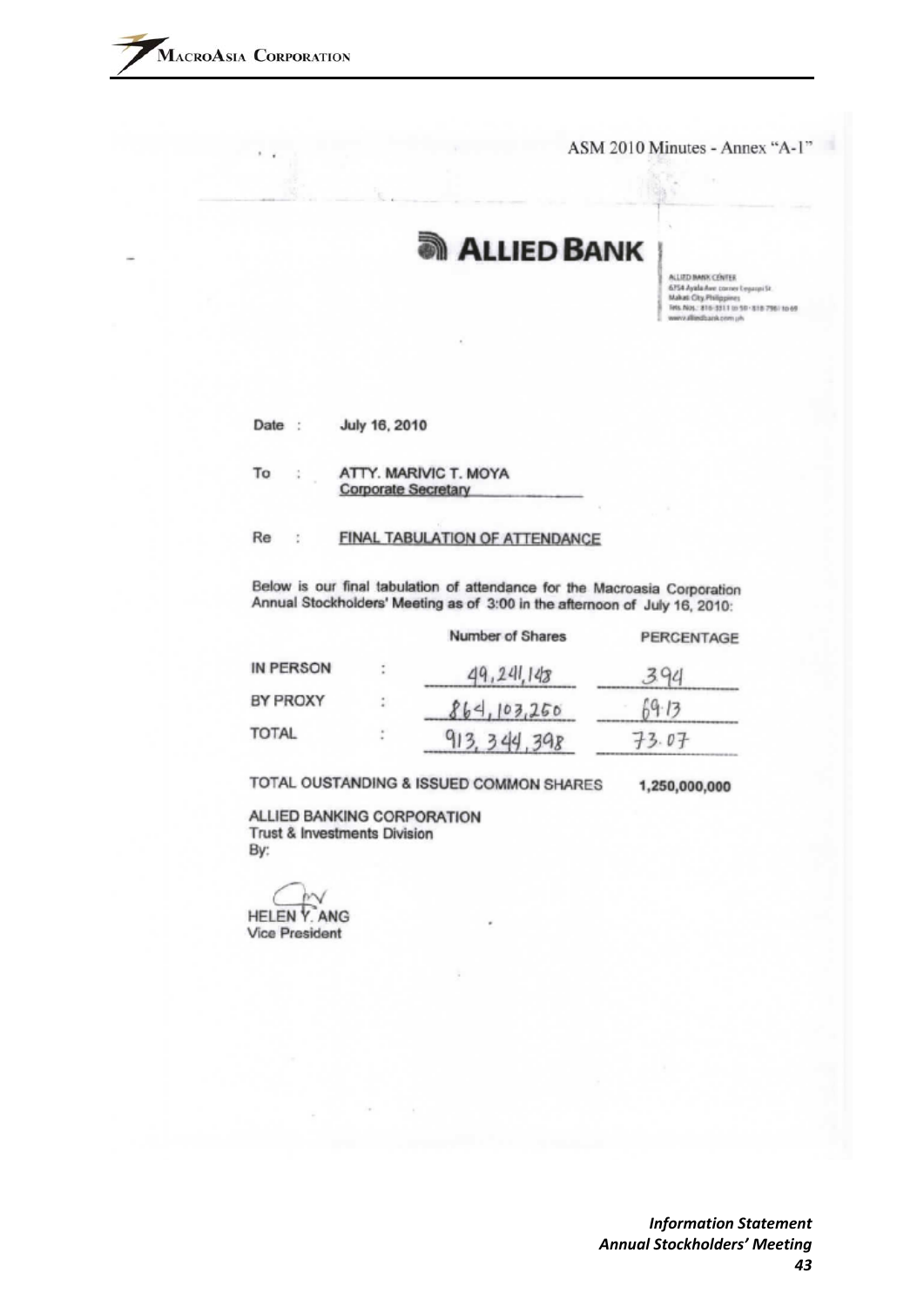ASM 2010 Minutes - Annex "A-1"

骆

# **ALLIED BANK**

ALLIED IMMX CENTER 6754 Ayala Ave corner Legaspi St.<br>Makati City, Philippines<br>Tets. Nos.: 816-3311 to 50-318-796-1049 www.alliedbank.com.uh

| July 16, 2010<br>Date |  |
|-----------------------|--|
|-----------------------|--|

ATTY. MARIVIC T. MOYA To **Corporate Secretary** 

#### Re FINAL TABULATION OF ATTENDANCE ţ.

Below is our final tabulation of attendance for the Macroasia Corporation Annual Stockholders' Meeting as of 3:00 in the afternoon of July 16, 2010:

|                 | Number of Shares | PERCENTAGE |
|-----------------|------------------|------------|
| IN PERSON       | 49,241,148       |            |
| <b>BY PROXY</b> | 864, 103, 250    | 69.13      |
| <b>TOTAL</b>    | 913.344.398      | 73.07      |

TOTAL OUSTANDING & ISSUED COMMON SHARES

1,250,000,000

ALLIED BANKING CORPORATION **Trust & Investments Division** By:

**HELEN Y. ANG Vice President**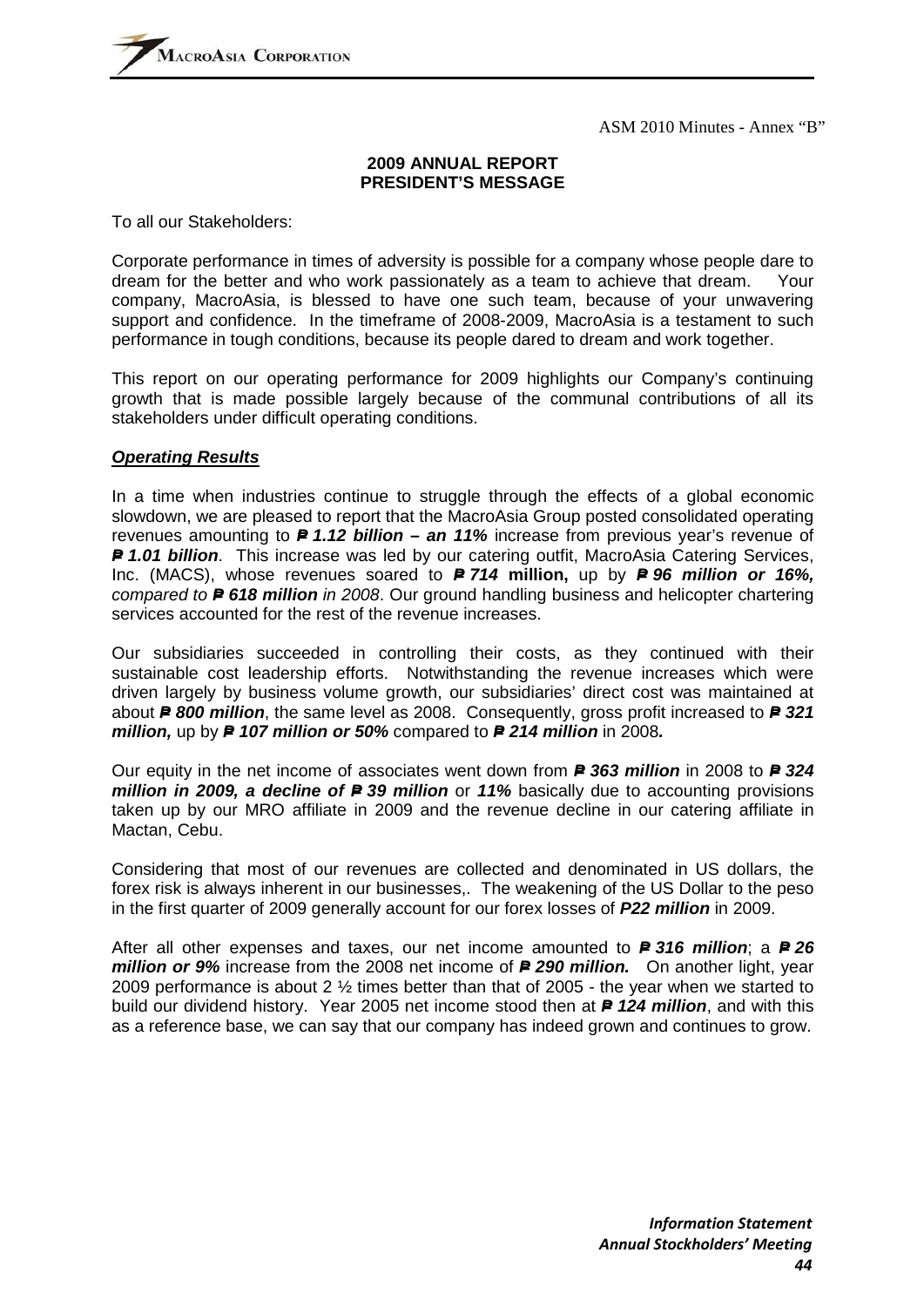#### **2009 ANNUAL REPORT PRESIDENT'S MESSAGE**

To all our Stakeholders:

Corporate performance in times of adversity is possible for a company whose people dare to dream for the better and who work passionately as a team to achieve that dream. Your company, MacroAsia, is blessed to have one such team, because of your unwavering support and confidence. In the timeframe of 2008-2009, MacroAsia is a testament to such performance in tough conditions, because its people dared to dream and work together.

This report on our operating performance for 2009 highlights our Company's continuing growth that is made possible largely because of the communal contributions of all its stakeholders under difficult operating conditions.

#### *Operating Results*

In a time when industries continue to struggle through the effects of a global economic slowdown, we are pleased to report that the MacroAsia Group posted consolidated operating revenues amounting to **P** 1.12 **billion – an 11%** increase from previous year's revenue of **P** 1.01 billion. This increase was led by our catering outfit, MacroAsia Catering Services, Inc. (MACS), whose revenues soared to **P 714 million,** up by **P 96 million or 16%**, *compared to P* 618 million in 2008. Our ground handling business and helicopter chartering services accounted for the rest of the revenue increases.

Our subsidiaries succeeded in controlling their costs, as they continued with their sustainable cost leadership efforts. Notwithstanding the revenue increases which were driven largely by business volume growth, our subsidiaries' direct cost was maintained at about *P= 800 million*, the same level as 2008. Consequently, gross profit increased to *P= 321 million, up by P 107 million or 50% compared to P 214 million in 2008.* 

Our equity in the net income of associates went down from *P= 363 million* in 2008 to *P= 324 million in 2009, a decline of Pe 39 million* or 11% basically due to accounting provisions taken up by our MRO affiliate in 2009 and the revenue decline in our catering affiliate in Mactan, Cebu.

Considering that most of our revenues are collected and denominated in US dollars, the forex risk is always inherent in our businesses,. The weakening of the US Dollar to the peso in the first quarter of 2009 generally account for our forex losses of *P22 million* in 2009.

After all other expenses and taxes, our net income amounted to **P 316 million**; a **P 26** *million or 9%* increase from the 2008 net income of **P 290 million.** On another light, year 2009 performance is about 2 ½ times better than that of 2005 - the year when we started to build our dividend history. Year 2005 net income stood then at **P 124 million**, and with this as a reference base, we can say that our company has indeed grown and continues to grow.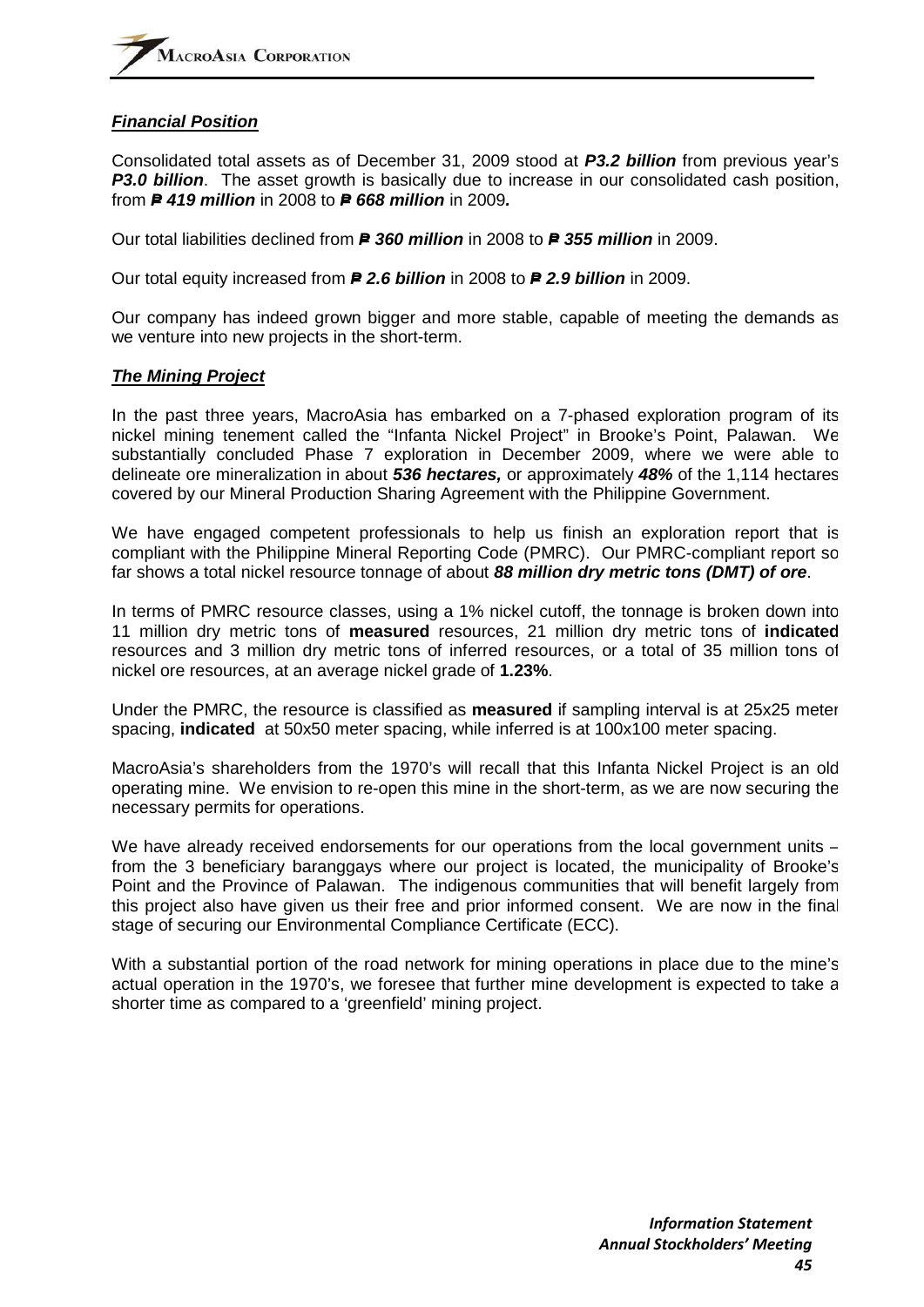#### *Financial Position*

Consolidated total assets as of December 31, 2009 stood at *P3.2 billion* from previous year's **P3.0 billion**. The asset growth is basically due to increase in our consolidated cash position, from *P= 419 million* in 2008 to *P= 668 million* in 2009*.*

Our total liabilities declined from *P= 360 million* in 2008 to *P= 355 million* in 2009.

Our total equity increased from *P= 2.6 billion* in 2008 to *P= 2.9 billion* in 2009.

Our company has indeed grown bigger and more stable, capable of meeting the demands as we venture into new projects in the short-term.

#### *The Mining Project*

In the past three years, MacroAsia has embarked on a 7-phased exploration program of its nickel mining tenement called the "Infanta Nickel Project" in Brooke's Point, Palawan. We substantially concluded Phase 7 exploration in December 2009, where we were able to delineate ore mineralization in about *536 hectares,* or approximately *48%* of the 1,114 hectares covered by our Mineral Production Sharing Agreement with the Philippine Government.

We have engaged competent professionals to help us finish an exploration report that is compliant with the Philippine Mineral Reporting Code (PMRC). Our PMRC-compliant report so far shows a total nickel resource tonnage of about *88 million dry metric tons (DMT) of ore*.

In terms of PMRC resource classes, using a 1% nickel cutoff, the tonnage is broken down into 11 million dry metric tons of **measured** resources, 21 million dry metric tons of **indicated** resources and 3 million dry metric tons of inferred resources, or a total of 35 million tons of nickel ore resources, at an average nickel grade of **1.23%**.

Under the PMRC, the resource is classified as **measured** if sampling interval is at 25x25 meter spacing, **indicated** at 50x50 meter spacing, while inferred is at 100x100 meter spacing.

MacroAsia's shareholders from the 1970's will recall that this Infanta Nickel Project is an old operating mine. We envision to re-open this mine in the short-term, as we are now securing the necessary permits for operations.

We have already received endorsements for our operations from the local government units – from the 3 beneficiary baranggays where our project is located, the municipality of Brooke's Point and the Province of Palawan. The indigenous communities that will benefit largely from this project also have given us their free and prior informed consent. We are now in the final stage of securing our Environmental Compliance Certificate (ECC).

With a substantial portion of the road network for mining operations in place due to the mine's actual operation in the 1970's, we foresee that further mine development is expected to take a shorter time as compared to a 'greenfield' mining project.